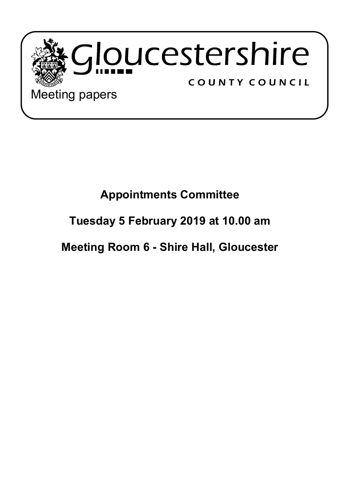

Meeting papers

## **Appointments Committee**

## **Tuesday 5 February 2019 at 10.00 am**

**Meeting Room 6 - Shire Hall, Gloucester**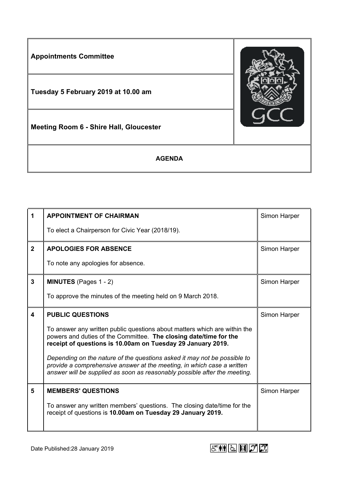

| 1                       | <b>APPOINTMENT OF CHAIRMAN</b>                                                                                                                                                                                                  | Simon Harper |
|-------------------------|---------------------------------------------------------------------------------------------------------------------------------------------------------------------------------------------------------------------------------|--------------|
|                         | To elect a Chairperson for Civic Year (2018/19).                                                                                                                                                                                |              |
| $2^{\circ}$             | <b>APOLOGIES FOR ABSENCE</b>                                                                                                                                                                                                    | Simon Harper |
|                         | To note any apologies for absence.                                                                                                                                                                                              |              |
| $\mathbf{3}$            | <b>MINUTES</b> (Pages 1 - 2)                                                                                                                                                                                                    | Simon Harper |
|                         | To approve the minutes of the meeting held on 9 March 2018.                                                                                                                                                                     |              |
| $\overline{\mathbf{A}}$ | <b>PUBLIC QUESTIONS</b>                                                                                                                                                                                                         | Simon Harper |
|                         | To answer any written public questions about matters which are within the<br>powers and duties of the Committee. The closing date/time for the<br>receipt of questions is 10.00am on Tuesday 29 January 2019.                   |              |
|                         | Depending on the nature of the questions asked it may not be possible to<br>provide a comprehensive answer at the meeting, in which case a written<br>answer will be supplied as soon as reasonably possible after the meeting. |              |
| 5                       | <b>MEMBERS' QUESTIONS</b>                                                                                                                                                                                                       | Simon Harper |
|                         | To answer any written members' questions. The closing date/time for the<br>receipt of questions is 10.00am on Tuesday 29 January 2019.                                                                                          |              |